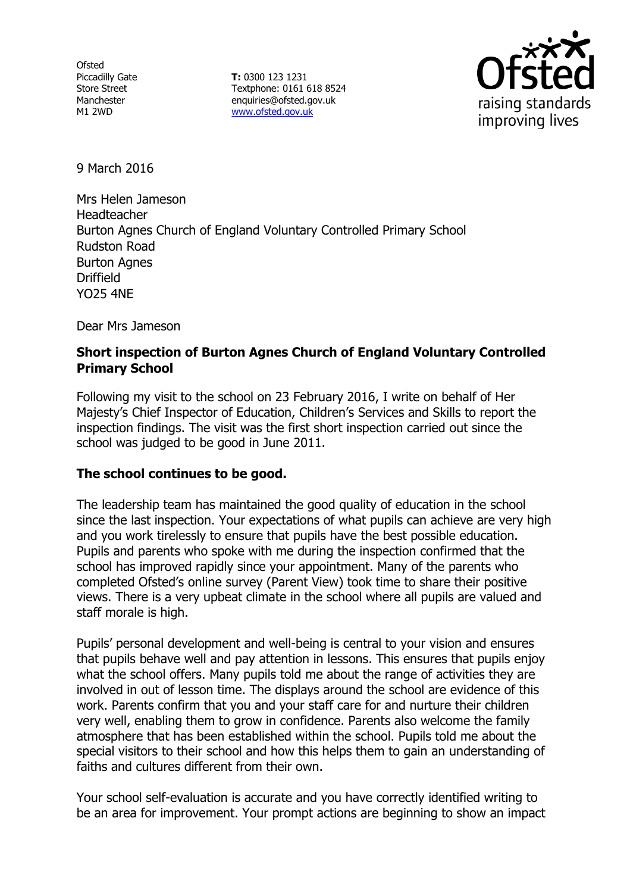**Ofsted** Piccadilly Gate Store Street Manchester M1 2WD

**T:** 0300 123 1231 Textphone: 0161 618 8524 enquiries@ofsted.gov.uk www.ofsted.gov.uk



9 March 2016

Mrs Helen Jameson Headteacher Burton Agnes Church of England Voluntary Controlled Primary School Rudston Road Burton Agnes Driffield YO25 4NE

Dear Mrs Jameson

### **Short inspection of Burton Agnes Church of England Voluntary Controlled Primary School**

Following my visit to the school on 23 February 2016, I write on behalf of Her Majesty's Chief Inspector of Education, Children's Services and Skills to report the inspection findings. The visit was the first short inspection carried out since the school was judged to be good in June 2011.

### **The school continues to be good.**

The leadership team has maintained the good quality of education in the school since the last inspection. Your expectations of what pupils can achieve are very high and you work tirelessly to ensure that pupils have the best possible education. Pupils and parents who spoke with me during the inspection confirmed that the school has improved rapidly since your appointment. Many of the parents who completed Ofsted's online survey (Parent View) took time to share their positive views. There is a very upbeat climate in the school where all pupils are valued and staff morale is high.

Pupils' personal development and well-being is central to your vision and ensures that pupils behave well and pay attention in lessons. This ensures that pupils enjoy what the school offers. Many pupils told me about the range of activities they are involved in out of lesson time. The displays around the school are evidence of this work. Parents confirm that you and your staff care for and nurture their children very well, enabling them to grow in confidence. Parents also welcome the family atmosphere that has been established within the school. Pupils told me about the special visitors to their school and how this helps them to gain an understanding of faiths and cultures different from their own.

Your school self-evaluation is accurate and you have correctly identified writing to be an area for improvement. Your prompt actions are beginning to show an impact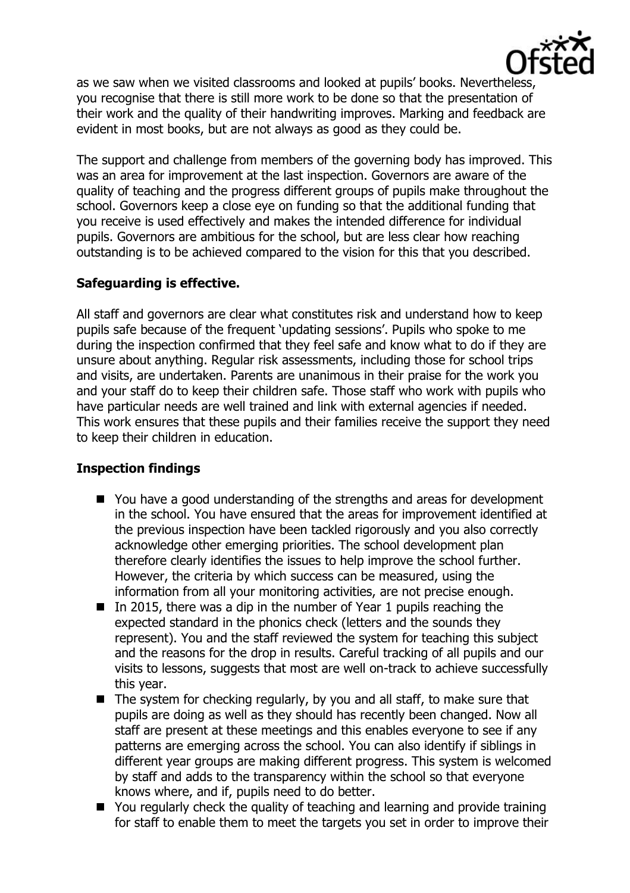

as we saw when we visited classrooms and looked at pupils' books. Nevertheless, you recognise that there is still more work to be done so that the presentation of their work and the quality of their handwriting improves. Marking and feedback are evident in most books, but are not always as good as they could be.

The support and challenge from members of the governing body has improved. This was an area for improvement at the last inspection. Governors are aware of the quality of teaching and the progress different groups of pupils make throughout the school. Governors keep a close eye on funding so that the additional funding that you receive is used effectively and makes the intended difference for individual pupils. Governors are ambitious for the school, but are less clear how reaching outstanding is to be achieved compared to the vision for this that you described.

# **Safeguarding is effective.**

All staff and governors are clear what constitutes risk and understand how to keep pupils safe because of the frequent 'updating sessions'. Pupils who spoke to me during the inspection confirmed that they feel safe and know what to do if they are unsure about anything. Regular risk assessments, including those for school trips and visits, are undertaken. Parents are unanimous in their praise for the work you and your staff do to keep their children safe. Those staff who work with pupils who have particular needs are well trained and link with external agencies if needed. This work ensures that these pupils and their families receive the support they need to keep their children in education.

### **Inspection findings**

- You have a good understanding of the strengths and areas for development in the school. You have ensured that the areas for improvement identified at the previous inspection have been tackled rigorously and you also correctly acknowledge other emerging priorities. The school development plan therefore clearly identifies the issues to help improve the school further. However, the criteria by which success can be measured, using the information from all your monitoring activities, are not precise enough.
- In 2015, there was a dip in the number of Year 1 pupils reaching the expected standard in the phonics check (letters and the sounds they represent). You and the staff reviewed the system for teaching this subject and the reasons for the drop in results. Careful tracking of all pupils and our visits to lessons, suggests that most are well on-track to achieve successfully this year.
- $\blacksquare$  The system for checking regularly, by you and all staff, to make sure that pupils are doing as well as they should has recently been changed. Now all staff are present at these meetings and this enables everyone to see if any patterns are emerging across the school. You can also identify if siblings in different year groups are making different progress. This system is welcomed by staff and adds to the transparency within the school so that everyone knows where, and if, pupils need to do better.
- You regularly check the quality of teaching and learning and provide training for staff to enable them to meet the targets you set in order to improve their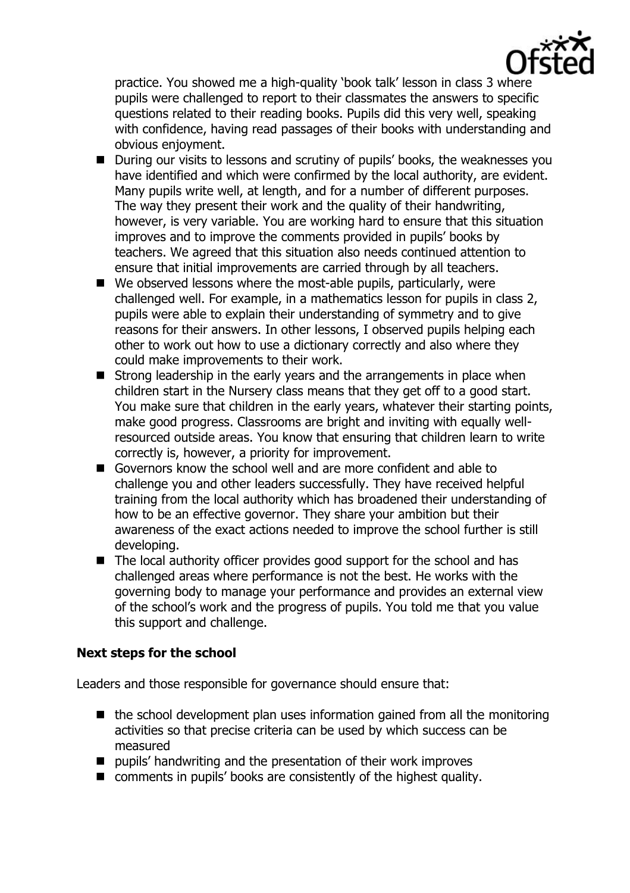

practice. You showed me a high-quality 'book talk' lesson in class 3 where pupils were challenged to report to their classmates the answers to specific questions related to their reading books. Pupils did this very well, speaking with confidence, having read passages of their books with understanding and obvious enjoyment.

- During our visits to lessons and scrutiny of pupils' books, the weaknesses you have identified and which were confirmed by the local authority, are evident. Many pupils write well, at length, and for a number of different purposes. The way they present their work and the quality of their handwriting, however, is very variable. You are working hard to ensure that this situation improves and to improve the comments provided in pupils' books by teachers. We agreed that this situation also needs continued attention to ensure that initial improvements are carried through by all teachers.
- $\blacksquare$  We observed lessons where the most-able pupils, particularly, were challenged well. For example, in a mathematics lesson for pupils in class 2, pupils were able to explain their understanding of symmetry and to give reasons for their answers. In other lessons, I observed pupils helping each other to work out how to use a dictionary correctly and also where they could make improvements to their work.
- $\blacksquare$  Strong leadership in the early years and the arrangements in place when children start in the Nursery class means that they get off to a good start. You make sure that children in the early years, whatever their starting points, make good progress. Classrooms are bright and inviting with equally wellresourced outside areas. You know that ensuring that children learn to write correctly is, however, a priority for improvement.
- Governors know the school well and are more confident and able to challenge you and other leaders successfully. They have received helpful training from the local authority which has broadened their understanding of how to be an effective governor. They share your ambition but their awareness of the exact actions needed to improve the school further is still developing.
- The local authority officer provides good support for the school and has challenged areas where performance is not the best. He works with the governing body to manage your performance and provides an external view of the school's work and the progress of pupils. You told me that you value this support and challenge.

# **Next steps for the school**

Leaders and those responsible for governance should ensure that:

- $\blacksquare$  the school development plan uses information gained from all the monitoring activities so that precise criteria can be used by which success can be measured
- $\blacksquare$  pupils' handwriting and the presentation of their work improves
- comments in pupils' books are consistently of the highest quality.